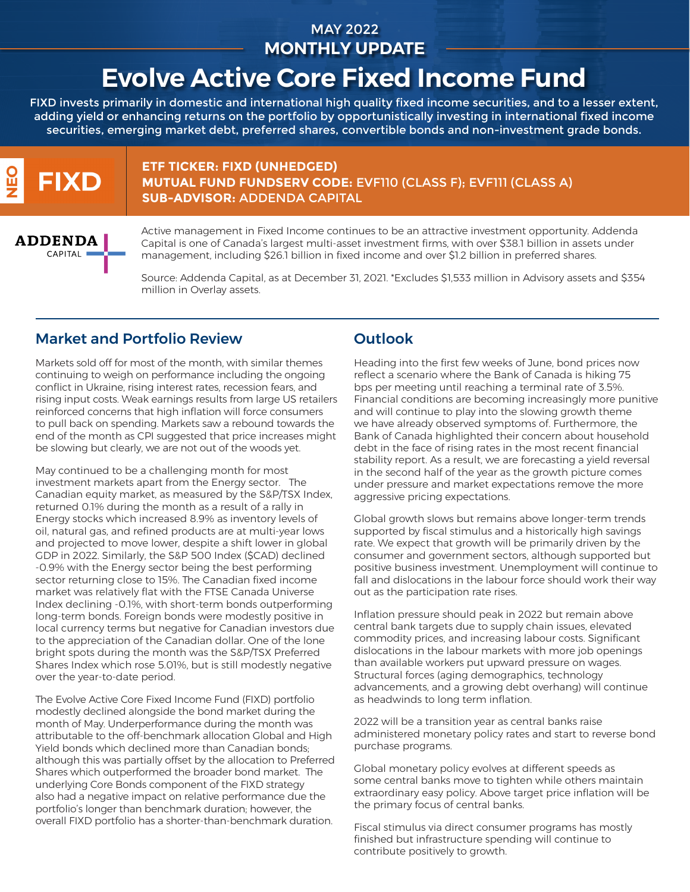# MAY 2022 **MONTHLY UPDATE**

# **Evolve Active Core Fixed Income Fund**

FIXD invests primarily in domestic and international high quality fixed income securities, and to a lesser extent, adding yield or enhancing returns on the portfolio by opportunistically investing in international fixed income securities, emerging market debt, preferred shares, convertible bonds and non-investment grade bonds.



#### **ETF TICKER: FIXD (UNHEDGED) MUTUAL FUND FUNDSERV CODE:** EVF110 (CLASS F); EVF111 (CLASS A) **SUB-ADVISOR:** ADDENDA CAPITAL

**ADDENDA** CAPITAL I

Active management in Fixed Income continues to be an attractive investment opportunity. Addenda Capital is one of Canada's largest multi-asset investment firms, with over \$38.1 billion in assets under management, including \$26.1 billion in fixed income and over \$1.2 billion in preferred shares.

Source: Addenda Capital, as at December 31, 2021. \*Excludes \$1,533 million in Advisory assets and \$354 million in Overlay assets.

# Market and Portfolio Review

Markets sold off for most of the month, with similar themes continuing to weigh on performance including the ongoing conflict in Ukraine, rising interest rates, recession fears, and rising input costs. Weak earnings results from large US retailers reinforced concerns that high inflation will force consumers to pull back on spending. Markets saw a rebound towards the end of the month as CPI suggested that price increases might be slowing but clearly, we are not out of the woods yet.

May continued to be a challenging month for most investment markets apart from the Energy sector. The Canadian equity market, as measured by the S&P/TSX Index, returned 0.1% during the month as a result of a rally in Energy stocks which increased 8.9% as inventory levels of oil, natural gas, and refined products are at multi-year lows and projected to move lower, despite a shift lower in global GDP in 2022. Similarly, the S&P 500 Index (\$CAD) declined -0.9% with the Energy sector being the best performing sector returning close to 15%. The Canadian fixed income market was relatively flat with the FTSE Canada Universe Index declining -0.1%, with short-term bonds outperforming long-term bonds. Foreign bonds were modestly positive in local currency terms but negative for Canadian investors due to the appreciation of the Canadian dollar. One of the lone bright spots during the month was the S&P/TSX Preferred Shares Index which rose 5.01%, but is still modestly negative over the year-to-date period.

The Evolve Active Core Fixed Income Fund (FIXD) portfolio modestly declined alongside the bond market during the month of May. Underperformance during the month was attributable to the off-benchmark allocation Global and High Yield bonds which declined more than Canadian bonds; although this was partially offset by the allocation to Preferred Shares which outperformed the broader bond market. The underlying Core Bonds component of the FIXD strategy also had a negative impact on relative performance due the portfolio's longer than benchmark duration; however, the overall FIXD portfolio has a shorter-than-benchmark duration.

### **Outlook**

Heading into the first few weeks of June, bond prices now reflect a scenario where the Bank of Canada is hiking 75 bps per meeting until reaching a terminal rate of 3.5%. Financial conditions are becoming increasingly more punitive and will continue to play into the slowing growth theme we have already observed symptoms of. Furthermore, the Bank of Canada highlighted their concern about household debt in the face of rising rates in the most recent financial stability report. As a result, we are forecasting a yield reversal in the second half of the year as the growth picture comes under pressure and market expectations remove the more aggressive pricing expectations.

Global growth slows but remains above longer-term trends supported by fiscal stimulus and a historically high savings rate. We expect that growth will be primarily driven by the consumer and government sectors, although supported but positive business investment. Unemployment will continue to fall and dislocations in the labour force should work their way out as the participation rate rises.

Inflation pressure should peak in 2022 but remain above central bank targets due to supply chain issues, elevated commodity prices, and increasing labour costs. Significant dislocations in the labour markets with more job openings than available workers put upward pressure on wages. Structural forces (aging demographics, technology advancements, and a growing debt overhang) will continue as headwinds to long term inflation.

2022 will be a transition year as central banks raise administered monetary policy rates and start to reverse bond purchase programs.

Global monetary policy evolves at different speeds as some central banks move to tighten while others maintain extraordinary easy policy. Above target price inflation will be the primary focus of central banks.

Fiscal stimulus via direct consumer programs has mostly finished but infrastructure spending will continue to contribute positively to growth.